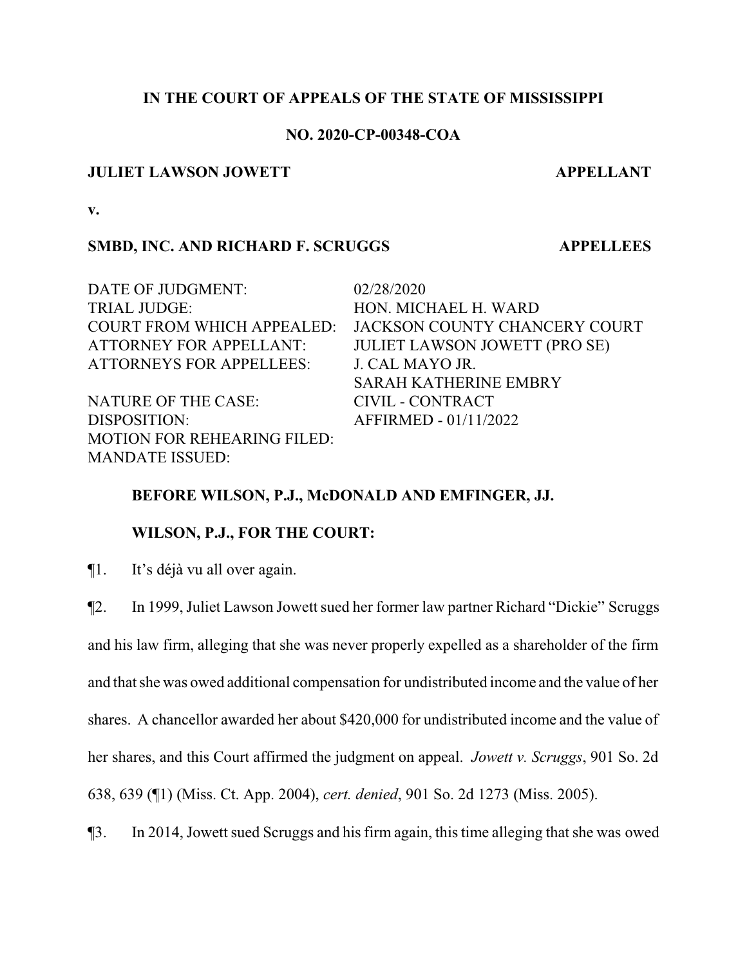# **IN THE COURT OF APPEALS OF THE STATE OF MISSISSIPPI**

## **NO. 2020-CP-00348-COA**

## **JULIET LAWSON JOWETT APPELLANT**

**v.**

# **SMBD, INC. AND RICHARD F. SCRUGGS APPELLEES**

DATE OF JUDGMENT:  $02/28/2020$ TRIAL JUDGE: HON. MICHAEL H. WARD COURT FROM WHICH APPEALED: JACKSON COUNTY CHANCERY COURT ATTORNEY FOR APPELLANT: JULIET LAWSON JOWETT (PRO SE) ATTORNEYS FOR APPELLEES: J. CAL MAYO JR. SARAH KATHERINE EMBRY NATURE OF THE CASE: CIVIL - CONTRACT DISPOSITION: AFFIRMED - 01/11/2022 MOTION FOR REHEARING FILED: MANDATE ISSUED:

# **BEFORE WILSON, P.J., McDONALD AND EMFINGER, JJ.**

# **WILSON, P.J., FOR THE COURT:**

¶1. It's déjà vu all over again.

¶2. In 1999, Juliet Lawson Jowett sued her former law partner Richard "Dickie" Scruggs

and his law firm, alleging that she was never properly expelled as a shareholder of the firm and that she was owed additional compensation for undistributed income and the value of her shares. A chancellor awarded her about \$420,000 for undistributed income and the value of her shares, and this Court affirmed the judgment on appeal. *Jowett v. Scruggs*, 901 So. 2d 638, 639 (¶1) (Miss. Ct. App. 2004), *cert. denied*, 901 So. 2d 1273 (Miss. 2005).

¶3. In 2014, Jowett sued Scruggs and his firm again, this time alleging that she was owed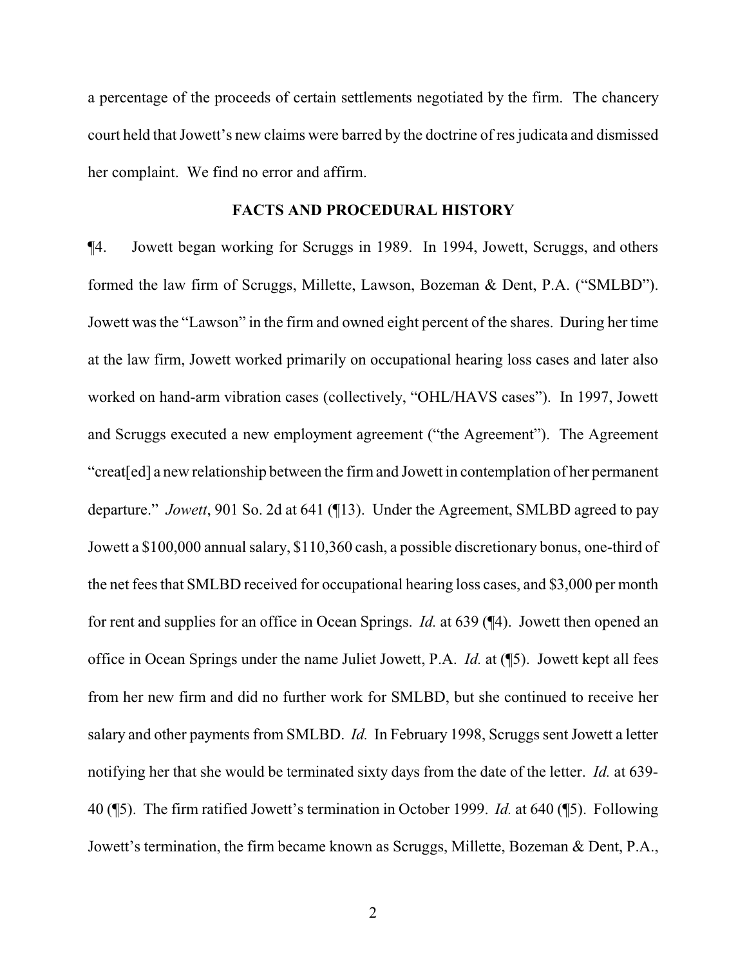a percentage of the proceeds of certain settlements negotiated by the firm. The chancery court held that Jowett's new claims were barred by the doctrine of res judicata and dismissed her complaint. We find no error and affirm.

# **FACTS AND PROCEDURAL HISTORY**

¶4. Jowett began working for Scruggs in 1989. In 1994, Jowett, Scruggs, and others formed the law firm of Scruggs, Millette, Lawson, Bozeman & Dent, P.A. ("SMLBD"). Jowett was the "Lawson" in the firm and owned eight percent of the shares. During her time at the law firm, Jowett worked primarily on occupational hearing loss cases and later also worked on hand-arm vibration cases (collectively, "OHL/HAVS cases"). In 1997, Jowett and Scruggs executed a new employment agreement ("the Agreement"). The Agreement "creat[ed] a new relationship between the firmand Jowett in contemplation of her permanent departure." *Jowett*, 901 So. 2d at 641 (¶13). Under the Agreement, SMLBD agreed to pay Jowett a \$100,000 annual salary, \$110,360 cash, a possible discretionary bonus, one-third of the net fees that SMLBD received for occupational hearing loss cases, and \$3,000 per month for rent and supplies for an office in Ocean Springs. *Id.* at 639 (¶4). Jowett then opened an office in Ocean Springs under the name Juliet Jowett, P.A. *Id.* at (¶5). Jowett kept all fees from her new firm and did no further work for SMLBD, but she continued to receive her salary and other payments from SMLBD. *Id.* In February 1998, Scruggs sent Jowett a letter notifying her that she would be terminated sixty days from the date of the letter. *Id.* at 639- 40 (¶5). The firm ratified Jowett's termination in October 1999. *Id.* at 640 (¶5). Following Jowett's termination, the firm became known as Scruggs, Millette, Bozeman & Dent, P.A.,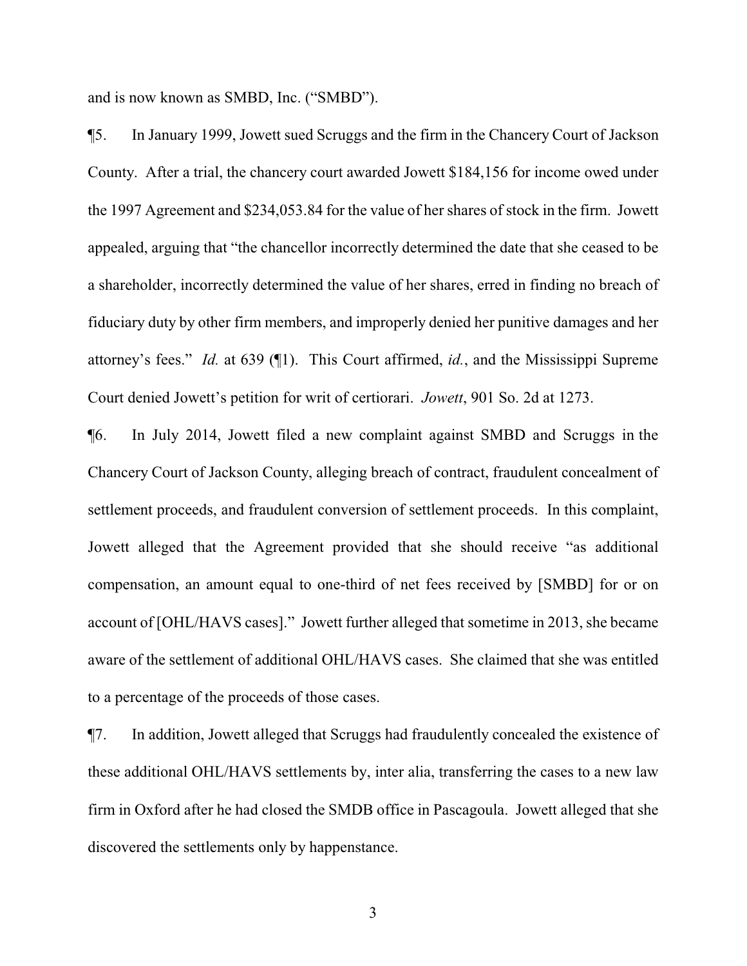and is now known as SMBD, Inc. ("SMBD").

¶5. In January 1999, Jowett sued Scruggs and the firm in the Chancery Court of Jackson County. After a trial, the chancery court awarded Jowett \$184,156 for income owed under the 1997 Agreement and \$234,053.84 for the value of her shares of stock in the firm. Jowett appealed, arguing that "the chancellor incorrectly determined the date that she ceased to be a shareholder, incorrectly determined the value of her shares, erred in finding no breach of fiduciary duty by other firm members, and improperly denied her punitive damages and her attorney's fees." *Id.* at 639 (¶1). This Court affirmed, *id.*, and the Mississippi Supreme Court denied Jowett's petition for writ of certiorari. *Jowett*, 901 So. 2d at 1273.

¶6. In July 2014, Jowett filed a new complaint against SMBD and Scruggs in the Chancery Court of Jackson County, alleging breach of contract, fraudulent concealment of settlement proceeds, and fraudulent conversion of settlement proceeds. In this complaint, Jowett alleged that the Agreement provided that she should receive "as additional compensation, an amount equal to one-third of net fees received by [SMBD] for or on account of [OHL/HAVS cases]." Jowett further alleged that sometime in 2013, she became aware of the settlement of additional OHL/HAVS cases. She claimed that she was entitled to a percentage of the proceeds of those cases.

¶7. In addition, Jowett alleged that Scruggs had fraudulently concealed the existence of these additional OHL/HAVS settlements by, inter alia, transferring the cases to a new law firm in Oxford after he had closed the SMDB office in Pascagoula. Jowett alleged that she discovered the settlements only by happenstance.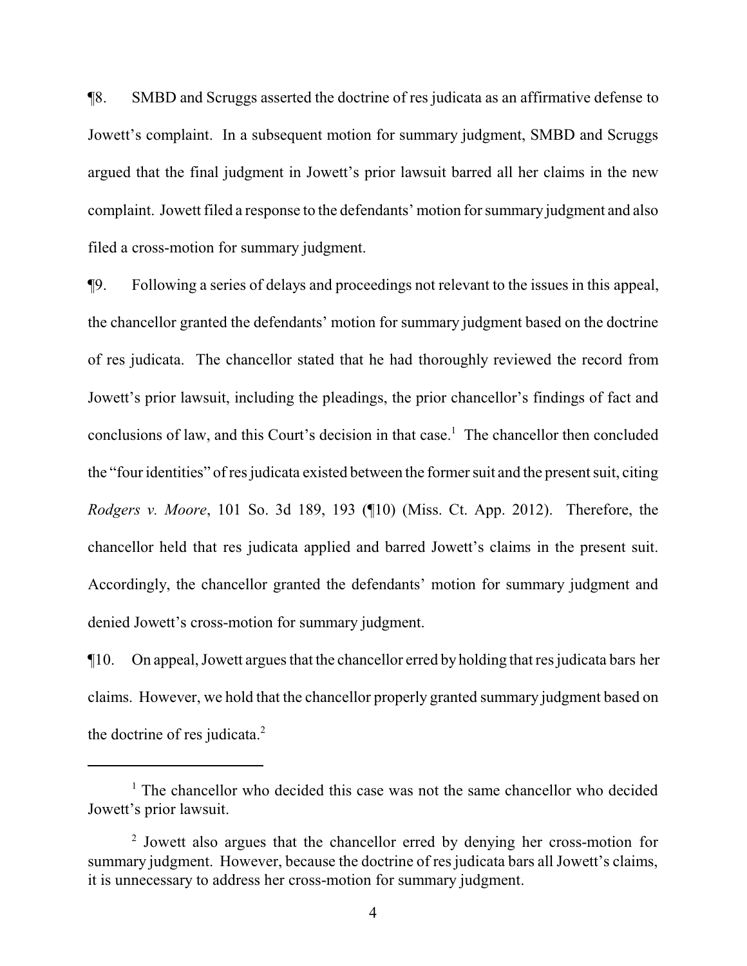¶8. SMBD and Scruggs asserted the doctrine of res judicata as an affirmative defense to Jowett's complaint. In a subsequent motion for summary judgment, SMBD and Scruggs argued that the final judgment in Jowett's prior lawsuit barred all her claims in the new complaint. Jowett filed a response to the defendants' motion for summary judgment and also filed a cross-motion for summary judgment.

¶9. Following a series of delays and proceedings not relevant to the issues in this appeal, the chancellor granted the defendants' motion for summary judgment based on the doctrine of res judicata. The chancellor stated that he had thoroughly reviewed the record from Jowett's prior lawsuit, including the pleadings, the prior chancellor's findings of fact and conclusions of law, and this Court's decision in that case.<sup>1</sup> The chancellor then concluded the "four identities" of res judicata existed between the former suit and the present suit, citing *Rodgers v. Moore*, 101 So. 3d 189, 193 (¶10) (Miss. Ct. App. 2012). Therefore, the chancellor held that res judicata applied and barred Jowett's claims in the present suit. Accordingly, the chancellor granted the defendants' motion for summary judgment and denied Jowett's cross-motion for summary judgment.

¶10. On appeal, Jowett argues that the chancellor erred by holding that res judicata bars her claims. However, we hold that the chancellor properly granted summary judgment based on the doctrine of res judicata.<sup>2</sup>

<sup>&</sup>lt;sup>1</sup> The chancellor who decided this case was not the same chancellor who decided Jowett's prior lawsuit.

<sup>&</sup>lt;sup>2</sup> Jowett also argues that the chancellor erred by denying her cross-motion for summary judgment. However, because the doctrine of res judicata bars all Jowett's claims, it is unnecessary to address her cross-motion for summary judgment.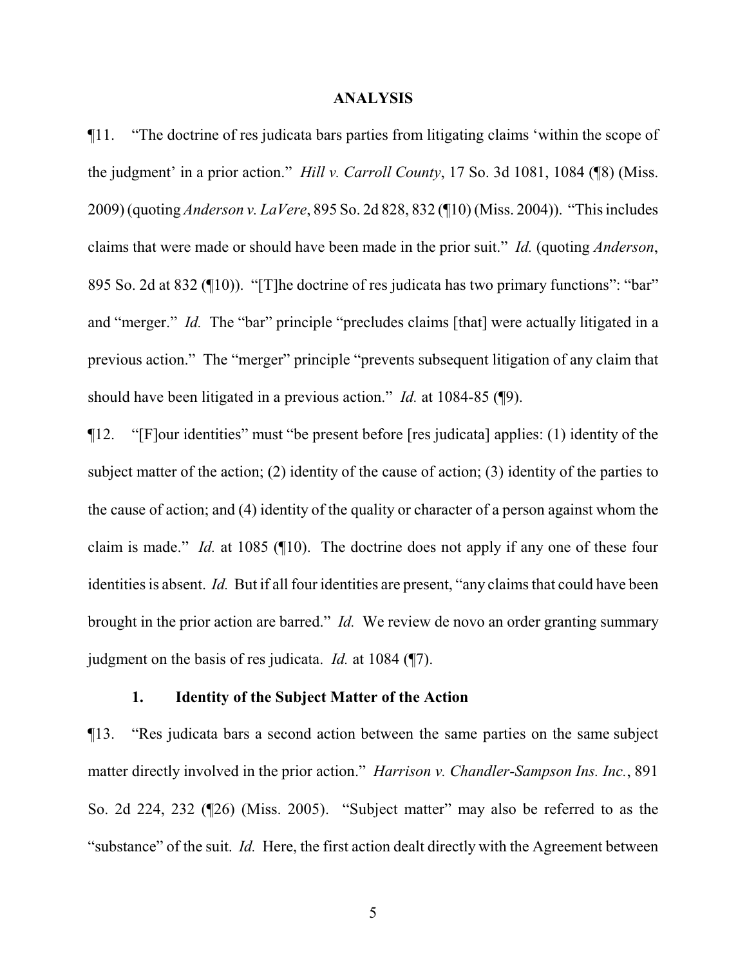#### **ANALYSIS**

¶11. "The doctrine of res judicata bars parties from litigating claims 'within the scope of the judgment' in a prior action." *Hill v. Carroll County*, 17 So. 3d 1081, 1084 (¶8) (Miss. 2009) (quoting *Anderson v. LaVere*, 895 So. 2d 828, 832 (¶10) (Miss. 2004)). "This includes claims that were made or should have been made in the prior suit." *Id.* (quoting *Anderson*, 895 So. 2d at 832 (¶10)). "[T]he doctrine of res judicata has two primary functions": "bar" and "merger." *Id.* The "bar" principle "precludes claims [that] were actually litigated in a previous action." The "merger" principle "prevents subsequent litigation of any claim that should have been litigated in a previous action." *Id.* at 1084-85 (¶9).

¶12. "[F]our identities" must "be present before [res judicata] applies: (1) identity of the subject matter of the action; (2) identity of the cause of action; (3) identity of the parties to the cause of action; and (4) identity of the quality or character of a person against whom the claim is made." *Id.* at 1085 (¶10). The doctrine does not apply if any one of these four identities is absent. *Id.* But if all four identities are present, "any claims that could have been brought in the prior action are barred." *Id.* We review de novo an order granting summary judgment on the basis of res judicata. *Id.* at 1084 (¶7).

## **1. Identity of the Subject Matter of the Action**

¶13. "Res judicata bars a second action between the same parties on the same subject matter directly involved in the prior action." *Harrison v. Chandler-Sampson Ins. Inc.*, 891 So. 2d 224, 232 (¶26) (Miss. 2005). "Subject matter" may also be referred to as the "substance" of the suit. *Id.* Here, the first action dealt directly with the Agreement between

5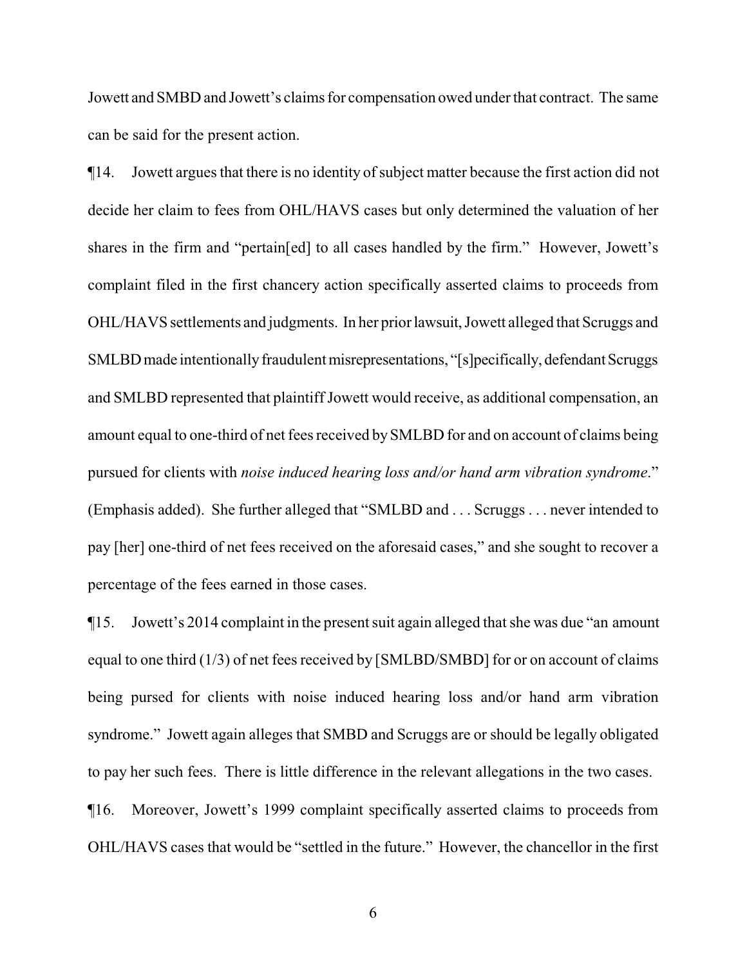Jowett and SMBD and Jowett's claims for compensation owed under that contract. The same can be said for the present action.

¶14. Jowett argues that there is no identity ofsubject matter because the first action did not decide her claim to fees from OHL/HAVS cases but only determined the valuation of her shares in the firm and "pertain[ed] to all cases handled by the firm." However, Jowett's complaint filed in the first chancery action specifically asserted claims to proceeds from OHL/HAVS settlements and judgments. In her priorlawsuit, Jowett alleged that Scruggs and SMLBD made intentionally fraudulent misrepresentations, "[s]pecifically, defendant Scruggs and SMLBD represented that plaintiff Jowett would receive, as additional compensation, an amount equal to one-third of net fees received bySMLBD for and on account of claims being pursued for clients with *noise induced hearing loss and/or hand arm vibration syndrome*." (Emphasis added). She further alleged that "SMLBD and . . . Scruggs . . . never intended to pay [her] one-third of net fees received on the aforesaid cases," and she sought to recover a percentage of the fees earned in those cases.

¶15. Jowett's 2014 complaint in the present suit again alleged that she was due "an amount equal to one third (1/3) of net fees received by [SMLBD/SMBD] for or on account of claims being pursed for clients with noise induced hearing loss and/or hand arm vibration syndrome." Jowett again alleges that SMBD and Scruggs are or should be legally obligated to pay her such fees. There is little difference in the relevant allegations in the two cases.

¶16. Moreover, Jowett's 1999 complaint specifically asserted claims to proceeds from OHL/HAVS cases that would be "settled in the future." However, the chancellor in the first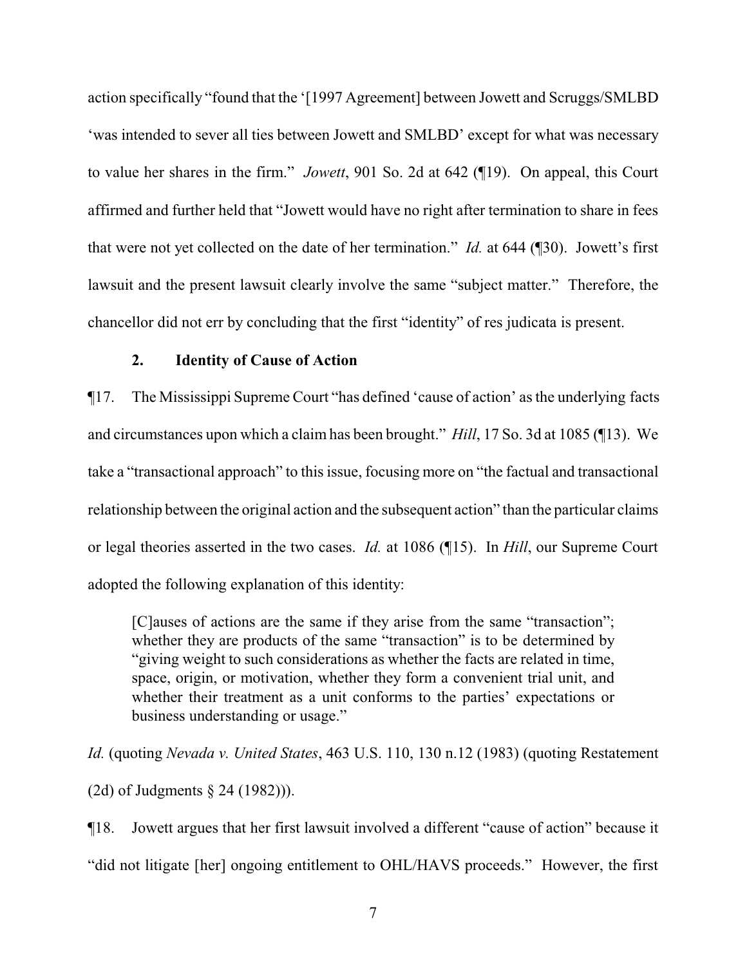action specifically "found that the '[1997 Agreement] between Jowett and Scruggs/SMLBD 'was intended to sever all ties between Jowett and SMLBD' except for what was necessary to value her shares in the firm." *Jowett*, 901 So. 2d at 642 (¶19). On appeal, this Court affirmed and further held that "Jowett would have no right after termination to share in fees that were not yet collected on the date of her termination." *Id.* at 644 (¶30). Jowett's first lawsuit and the present lawsuit clearly involve the same "subject matter." Therefore, the chancellor did not err by concluding that the first "identity" of res judicata is present.

# **2. Identity of Cause of Action**

¶17. The Mississippi Supreme Court "has defined 'cause of action' as the underlying facts and circumstances upon which a claim has been brought." *Hill*, 17 So. 3d at 1085 (¶13). We take a "transactional approach" to this issue, focusing more on "the factual and transactional relationship between the original action and the subsequent action" than the particular claims or legal theories asserted in the two cases. *Id.* at 1086 (¶15). In *Hill*, our Supreme Court adopted the following explanation of this identity:

[C]auses of actions are the same if they arise from the same "transaction"; whether they are products of the same "transaction" is to be determined by "giving weight to such considerations as whether the facts are related in time, space, origin, or motivation, whether they form a convenient trial unit, and whether their treatment as a unit conforms to the parties' expectations or business understanding or usage."

*Id.* (quoting *Nevada v. United States*, 463 U.S. 110, 130 n.12 (1983) (quoting Restatement (2d) of Judgments § 24 (1982))).

¶18. Jowett argues that her first lawsuit involved a different "cause of action" because it "did not litigate [her] ongoing entitlement to OHL/HAVS proceeds." However, the first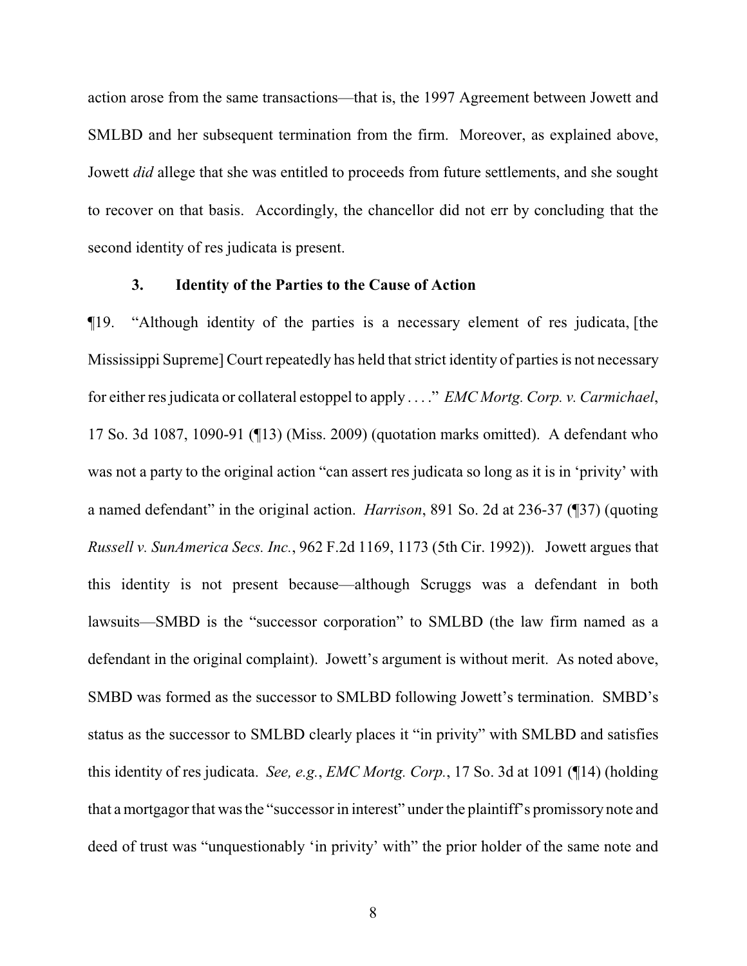action arose from the same transactions—that is, the 1997 Agreement between Jowett and SMLBD and her subsequent termination from the firm. Moreover, as explained above, Jowett *did* allege that she was entitled to proceeds from future settlements, and she sought to recover on that basis. Accordingly, the chancellor did not err by concluding that the second identity of res judicata is present.

# **3. Identity of the Parties to the Cause of Action**

¶19. "Although identity of the parties is a necessary element of res judicata, [the Mississippi Supreme] Court repeatedly has held that strict identity of parties is not necessary for either res judicata or collateral estoppel to apply . . . ." *EMC Mortg. Corp. v. Carmichael*, 17 So. 3d 1087, 1090-91 (¶13) (Miss. 2009) (quotation marks omitted). A defendant who was not a party to the original action "can assert res judicata so long as it is in 'privity' with a named defendant" in the original action. *Harrison*, 891 So. 2d at 236-37 (¶37) (quoting *Russell v. SunAmerica Secs. Inc.*, 962 F.2d 1169, 1173 (5th Cir. 1992)). Jowett argues that this identity is not present because—although Scruggs was a defendant in both lawsuits—SMBD is the "successor corporation" to SMLBD (the law firm named as a defendant in the original complaint). Jowett's argument is without merit. As noted above, SMBD was formed as the successor to SMLBD following Jowett's termination. SMBD's status as the successor to SMLBD clearly places it "in privity" with SMLBD and satisfies this identity of res judicata. *See, e.g.*, *EMC Mortg. Corp.*, 17 So. 3d at 1091 (¶14) (holding that a mortgagor that was the "successor in interest" under the plaintiff's promissory note and deed of trust was "unquestionably 'in privity' with" the prior holder of the same note and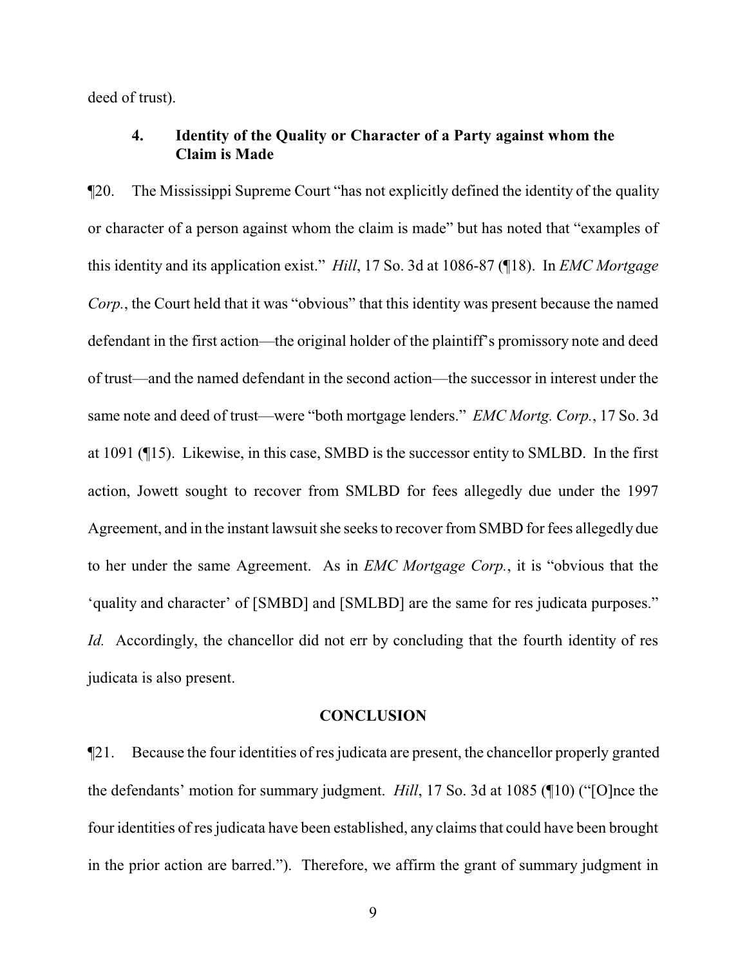deed of trust).

# **4. Identity of the Quality or Character of a Party against whom the Claim is Made**

¶20. The Mississippi Supreme Court "has not explicitly defined the identity of the quality or character of a person against whom the claim is made" but has noted that "examples of this identity and its application exist." *Hill*, 17 So. 3d at 1086-87 (¶18). In *EMC Mortgage Corp.*, the Court held that it was "obvious" that this identity was present because the named defendant in the first action—the original holder of the plaintiff's promissory note and deed of trust—and the named defendant in the second action—the successor in interest under the same note and deed of trust—were "both mortgage lenders." *EMC Mortg. Corp.*, 17 So. 3d at 1091 (¶15). Likewise, in this case, SMBD is the successor entity to SMLBD. In the first action, Jowett sought to recover from SMLBD for fees allegedly due under the 1997 Agreement, and in the instant lawsuit she seeks to recover fromSMBD for fees allegedly due to her under the same Agreement. As in *EMC Mortgage Corp.*, it is "obvious that the 'quality and character' of [SMBD] and [SMLBD] are the same for res judicata purposes." *Id.* Accordingly, the chancellor did not err by concluding that the fourth identity of res judicata is also present.

### **CONCLUSION**

¶21. Because the four identities of res judicata are present, the chancellor properly granted the defendants' motion for summary judgment. *Hill*, 17 So. 3d at 1085 (¶10) ("[O]nce the four identities of res judicata have been established, any claims that could have been brought in the prior action are barred."). Therefore, we affirm the grant of summary judgment in